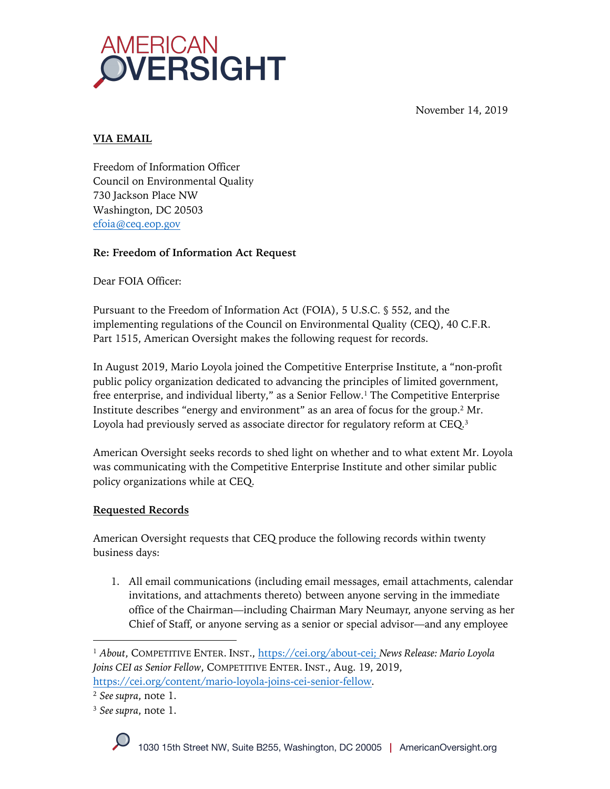



## **VIA EMAIL**

Freedom of Information Officer Council on Environmental Quality 730 Jackson Place NW Washington, DC 20503 efoia@ceq.eop.gov

# **Re: Freedom of Information Act Request**

Dear FOIA Officer:

Pursuant to the Freedom of Information Act (FOIA), 5 U.S.C. § 552, and the implementing regulations of the Council on Environmental Quality (CEQ), 40 C.F.R. Part 1515, American Oversight makes the following request for records.

In August 2019, Mario Loyola joined the Competitive Enterprise Institute, a "non-profit public policy organization dedicated to advancing the principles of limited government, free enterprise, and individual liberty," as a Senior Fellow.<sup>1</sup> The Competitive Enterprise Institute describes "energy and environment" as an area of focus for the group.2 Mr. Loyola had previously served as associate director for regulatory reform at CEQ.3

American Oversight seeks records to shed light on whether and to what extent Mr. Loyola was communicating with the Competitive Enterprise Institute and other similar public policy organizations while at CEQ.

# **Requested Records**

American Oversight requests that CEQ produce the following records within twenty business days:

1. All email communications (including email messages, email attachments, calendar invitations, and attachments thereto) between anyone serving in the immediate office of the Chairman—including Chairman Mary Neumayr, anyone serving as her Chief of Staff, or anyone serving as a senior or special advisor—and any employee

<sup>1</sup> *About*, COMPETITIVE ENTER. INST., https://cei.org/about-cei; *News Release: Mario Loyola Joins CEI as Senior Fellow*, COMPETITIVE ENTER. INST., Aug. 19, 2019, https://cei.org/content/mario-loyola-joins-cei-senior-fellow.

<sup>2</sup> *See supra*, note 1.

<sup>3</sup> *See supra*, note 1.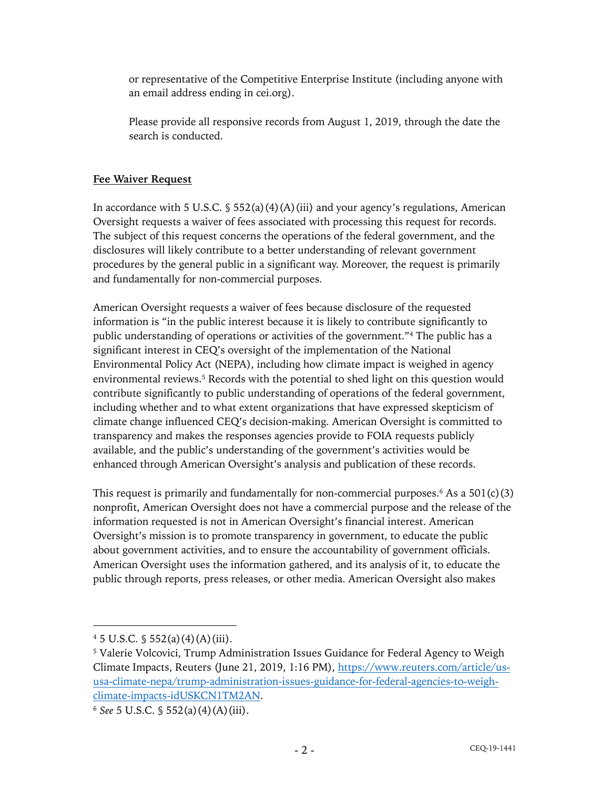or representative of the Competitive Enterprise Institute (including anyone with an email address ending in cei.org).

Please provide all responsive records from August 1, 2019, through the date the search is conducted.

## **Fee Waiver Request**

In accordance with 5 U.S.C.  $\frac{1}{5}$  552(a)(4)(A)(iii) and your agency's regulations, American Oversight requests a waiver of fees associated with processing this request for records. The subject of this request concerns the operations of the federal government, and the disclosures will likely contribute to a better understanding of relevant government procedures by the general public in a significant way. Moreover, the request is primarily and fundamentally for non-commercial purposes.

American Oversight requests a waiver of fees because disclosure of the requested information is "in the public interest because it is likely to contribute significantly to public understanding of operations or activities of the government."4 The public has a significant interest in CEQ's oversight of the implementation of the National Environmental Policy Act (NEPA), including how climate impact is weighed in agency environmental reviews. <sup>5</sup> Records with the potential to shed light on this question would contribute significantly to public understanding of operations of the federal government, including whether and to what extent organizations that have expressed skepticism of climate change influenced CEQ's decision-making. American Oversight is committed to transparency and makes the responses agencies provide to FOIA requests publicly available, and the public's understanding of the government's activities would be enhanced through American Oversight's analysis and publication of these records.

This request is primarily and fundamentally for non-commercial purposes.<sup>6</sup> As a  $501(c)(3)$ nonprofit, American Oversight does not have a commercial purpose and the release of the information requested is not in American Oversight's financial interest. American Oversight's mission is to promote transparency in government, to educate the public about government activities, and to ensure the accountability of government officials. American Oversight uses the information gathered, and its analysis of it, to educate the public through reports, press releases, or other media. American Oversight also makes

 $4\,5\,$  U.S.C.  $\frac{6}{5}$  552(a)(4)(A)(iii).

<sup>&</sup>lt;sup>5</sup> Valerie Volcovici, Trump Administration Issues Guidance for Federal Agency to Weigh Climate Impacts, Reuters (June 21, 2019, 1:16 PM), https://www.reuters.com/article/ususa-climate-nepa/trump-administration-issues-guidance-for-federal-agencies-to-weighclimate-impacts-idUSKCN1TM2AN.

<sup>6</sup> *See* 5 U.S.C. § 552(a)(4)(A)(iii).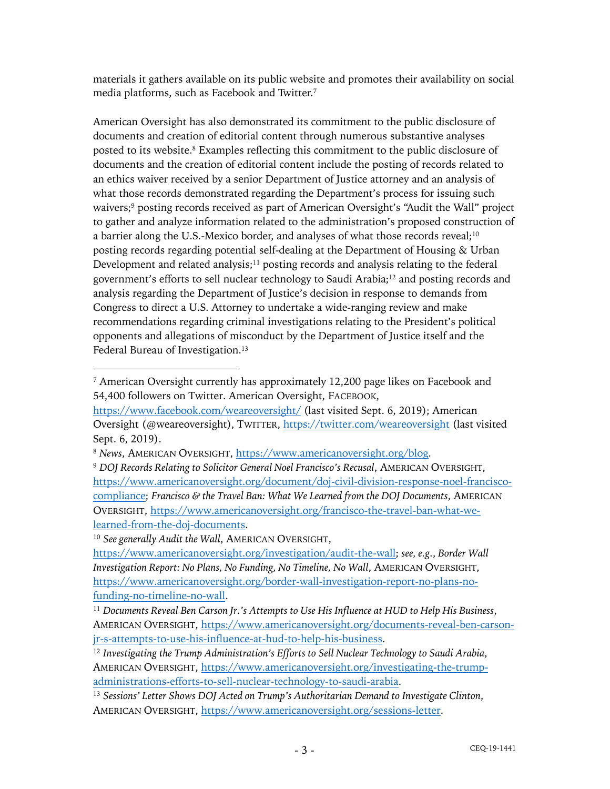materials it gathers available on its public website and promotes their availability on social media platforms, such as Facebook and Twitter.7

American Oversight has also demonstrated its commitment to the public disclosure of documents and creation of editorial content through numerous substantive analyses posted to its website. <sup>8</sup> Examples reflecting this commitment to the public disclosure of documents and the creation of editorial content include the posting of records related to an ethics waiver received by a senior Department of Justice attorney and an analysis of what those records demonstrated regarding the Department's process for issuing such waivers;<sup>9</sup> posting records received as part of American Oversight's "Audit the Wall" project to gather and analyze information related to the administration's proposed construction of a barrier along the U.S.-Mexico border, and analyses of what those records reveal;<sup>10</sup> posting records regarding potential self-dealing at the Department of Housing & Urban Development and related analysis;<sup>11</sup> posting records and analysis relating to the federal government's efforts to sell nuclear technology to Saudi Arabia;12 and posting records and analysis regarding the Department of Justice's decision in response to demands from Congress to direct a U.S. Attorney to undertake a wide-ranging review and make recommendations regarding criminal investigations relating to the President's political opponents and allegations of misconduct by the Department of Justice itself and the Federal Bureau of Investigation.<sup>13</sup>

<sup>10</sup> *See generally Audit the Wall*, AMERICAN OVERSIGHT,

<sup>7</sup> American Oversight currently has approximately 12,200 page likes on Facebook and 54,400 followers on Twitter. American Oversight, FACEBOOK,

https://www.facebook.com/weareoversight/ (last visited Sept. 6, 2019); American Oversight (@weareoversight), TWITTER, https://twitter.com/weareoversight (last visited Sept. 6, 2019).

<sup>8</sup> *News*, AMERICAN OVERSIGHT, https://www.americanoversight.org/blog.

<sup>9</sup> *DOJ Records Relating to Solicitor General Noel Francisco's Recusal*, AMERICAN OVERSIGHT, https://www.americanoversight.org/document/doj-civil-division-response-noel-franciscocompliance; *Francisco & the Travel Ban: What We Learned from the DOJ Documents*, AMERICAN OVERSIGHT, https://www.americanoversight.org/francisco-the-travel-ban-what-welearned-from-the-doj-documents.

https://www.americanoversight.org/investigation/audit-the-wall; *see, e.g.*, *Border Wall Investigation Report: No Plans, No Funding, No Timeline, No Wall*, AMERICAN OVERSIGHT, https://www.americanoversight.org/border-wall-investigation-report-no-plans-nofunding-no-timeline-no-wall.

<sup>11</sup> *Documents Reveal Ben Carson Jr.'s Attempts to Use His Influence at HUD to Help His Business*, AMERICAN OVERSIGHT, https://www.americanoversight.org/documents-reveal-ben-carsonjr-s-attempts-to-use-his-influence-at-hud-to-help-his-business.

<sup>12</sup> *Investigating the Trump Administration's Efforts to Sell Nuclear Technology to Saudi Arabia*, AMERICAN OVERSIGHT, https://www.americanoversight.org/investigating-the-trumpadministrations-efforts-to-sell-nuclear-technology-to-saudi-arabia.

<sup>13</sup> *Sessions' Letter Shows DOJ Acted on Trump's Authoritarian Demand to Investigate Clinton*, AMERICAN OVERSIGHT, https://www.americanoversight.org/sessions-letter.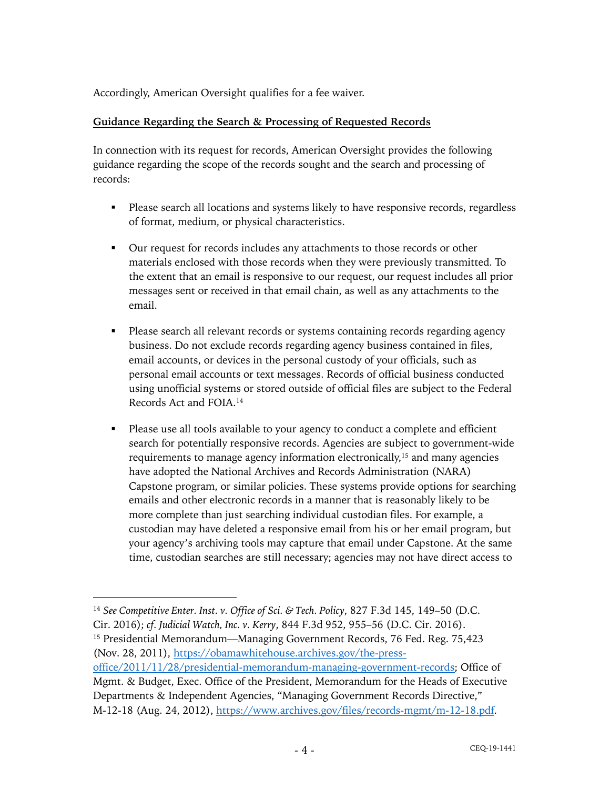Accordingly, American Oversight qualifies for a fee waiver.

### **Guidance Regarding the Search & Processing of Requested Records**

In connection with its request for records, American Oversight provides the following guidance regarding the scope of the records sought and the search and processing of records:

- Please search all locations and systems likely to have responsive records, regardless of format, medium, or physical characteristics.
- Our request for records includes any attachments to those records or other materials enclosed with those records when they were previously transmitted. To the extent that an email is responsive to our request, our request includes all prior messages sent or received in that email chain, as well as any attachments to the email.
- § Please search all relevant records or systems containing records regarding agency business. Do not exclude records regarding agency business contained in files, email accounts, or devices in the personal custody of your officials, such as personal email accounts or text messages. Records of official business conducted using unofficial systems or stored outside of official files are subject to the Federal Records Act and FOIA.14
- Please use all tools available to your agency to conduct a complete and efficient search for potentially responsive records. Agencies are subject to government-wide requirements to manage agency information electronically,15 and many agencies have adopted the National Archives and Records Administration (NARA) Capstone program, or similar policies. These systems provide options for searching emails and other electronic records in a manner that is reasonably likely to be more complete than just searching individual custodian files. For example, a custodian may have deleted a responsive email from his or her email program, but your agency's archiving tools may capture that email under Capstone. At the same time, custodian searches are still necessary; agencies may not have direct access to

(Nov. 28, 2011), https://obamawhitehouse.archives.gov/the-press-

<sup>14</sup> *See Competitive Enter. Inst. v. Office of Sci. & Tech. Policy*, 827 F.3d 145, 149–50 (D.C. Cir. 2016); *cf. Judicial Watch, Inc. v. Kerry*, 844 F.3d 952, 955–56 (D.C. Cir. 2016). <sup>15</sup> Presidential Memorandum—Managing Government Records, 76 Fed. Reg. 75,423

office/2011/11/28/presidential-memorandum-managing-government-records; Office of Mgmt. & Budget, Exec. Office of the President, Memorandum for the Heads of Executive Departments & Independent Agencies, "Managing Government Records Directive," M-12-18 (Aug. 24, 2012), https://www.archives.gov/files/records-mgmt/m-12-18.pdf.